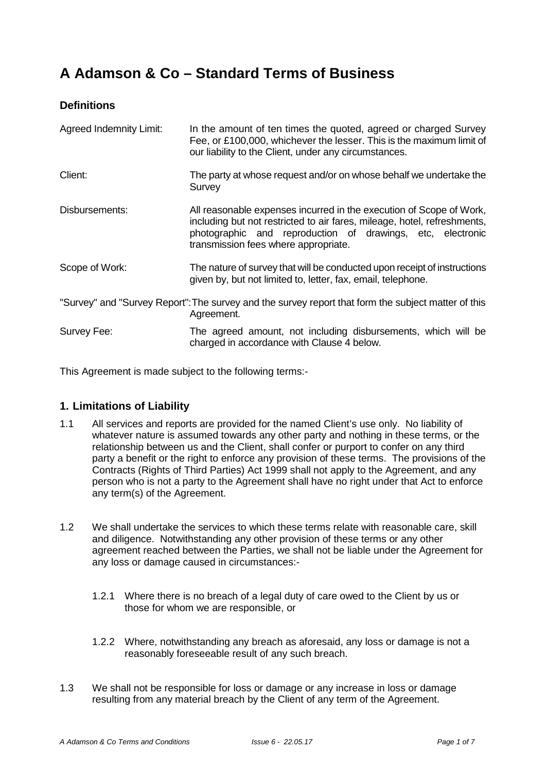# **A Adamson & Co – Standard Terms of Business**

## **Definitions**

| <b>Agreed Indemnity Limit:</b> | In the amount of ten times the quoted, agreed or charged Survey<br>Fee, or £100,000, whichever the lesser. This is the maximum limit of<br>our liability to the Client, under any circumstances.                                                      |
|--------------------------------|-------------------------------------------------------------------------------------------------------------------------------------------------------------------------------------------------------------------------------------------------------|
| Client:                        | The party at whose request and/or on whose behalf we undertake the<br>Survey                                                                                                                                                                          |
| Disbursements:                 | All reasonable expenses incurred in the execution of Scope of Work,<br>including but not restricted to air fares, mileage, hotel, refreshments,<br>photographic and reproduction of drawings, etc, electronic<br>transmission fees where appropriate. |
| Scope of Work:                 | The nature of survey that will be conducted upon receipt of instructions<br>given by, but not limited to, letter, fax, email, telephone.                                                                                                              |
|                                | "Survey" and "Survey Report": The survey and the survey report that form the subject matter of this<br>Agreement.                                                                                                                                     |
| Survey Fee:                    | The agreed amount, not including disbursements, which will be<br>charged in accordance with Clause 4 below.                                                                                                                                           |

This Agreement is made subject to the following terms:-

## **1. Limitations of Liability**

- 1.1 All services and reports are provided for the named Client's use only. No liability of whatever nature is assumed towards any other party and nothing in these terms, or the relationship between us and the Client, shall confer or purport to confer on any third party a benefit or the right to enforce any provision of these terms. The provisions of the Contracts (Rights of Third Parties) Act 1999 shall not apply to the Agreement, and any person who is not a party to the Agreement shall have no right under that Act to enforce any term(s) of the Agreement.
- 1.2 We shall undertake the services to which these terms relate with reasonable care, skill and diligence. Notwithstanding any other provision of these terms or any other agreement reached between the Parties, we shall not be liable under the Agreement for any loss or damage caused in circumstances:-
	- 1.2.1 Where there is no breach of a legal duty of care owed to the Client by us or those for whom we are responsible, or
	- 1.2.2 Where, notwithstanding any breach as aforesaid, any loss or damage is not a reasonably foreseeable result of any such breach.
- 1.3 We shall not be responsible for loss or damage or any increase in loss or damage resulting from any material breach by the Client of any term of the Agreement.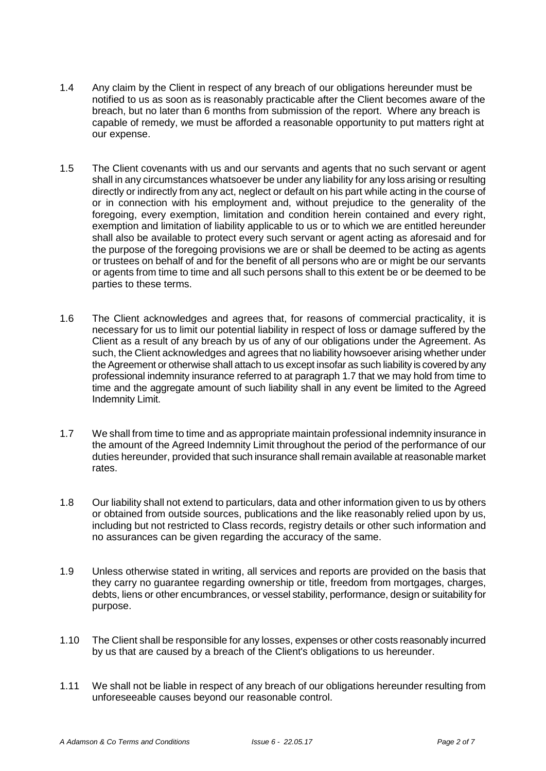- 1.4 Any claim by the Client in respect of any breach of our obligations hereunder must be notified to us as soon as is reasonably practicable after the Client becomes aware of the breach, but no later than 6 months from submission of the report. Where any breach is capable of remedy, we must be afforded a reasonable opportunity to put matters right at our expense.
- 1.5 The Client covenants with us and our servants and agents that no such servant or agent shall in any circumstances whatsoever be under any liability for any loss arising or resulting directly or indirectly from any act, neglect or default on his part while acting in the course of or in connection with his employment and, without prejudice to the generality of the foregoing, every exemption, limitation and condition herein contained and every right, exemption and limitation of liability applicable to us or to which we are entitled hereunder shall also be available to protect every such servant or agent acting as aforesaid and for the purpose of the foregoing provisions we are or shall be deemed to be acting as agents or trustees on behalf of and for the benefit of all persons who are or might be our servants or agents from time to time and all such persons shall to this extent be or be deemed to be parties to these terms.
- 1.6 The Client acknowledges and agrees that, for reasons of commercial practicality, it is necessary for us to limit our potential liability in respect of loss or damage suffered by the Client as a result of any breach by us of any of our obligations under the Agreement. As such, the Client acknowledges and agrees that no liability howsoever arising whether under the Agreement or otherwise shall attach to us except insofar as such liability is covered by any professional indemnity insurance referred to at paragraph 1.7 that we may hold from time to time and the aggregate amount of such liability shall in any event be limited to the Agreed Indemnity Limit.
- 1.7 We shall from time to time and as appropriate maintain professional indemnity insurance in the amount of the Agreed Indemnity Limit throughout the period of the performance of our duties hereunder, provided that such insurance shall remain available at reasonable market rates.
- 1.8 Our liability shall not extend to particulars, data and other information given to us by others or obtained from outside sources, publications and the like reasonably relied upon by us, including but not restricted to Class records, registry details or other such information and no assurances can be given regarding the accuracy of the same.
- 1.9 Unless otherwise stated in writing, all services and reports are provided on the basis that they carry no guarantee regarding ownership or title, freedom from mortgages, charges, debts, liens or other encumbrances, or vessel stability, performance, design or suitability for purpose.
- 1.10 The Client shall be responsible for any losses, expenses or other costs reasonably incurred by us that are caused by a breach of the Client's obligations to us hereunder.
- 1.11 We shall not be liable in respect of any breach of our obligations hereunder resulting from unforeseeable causes beyond our reasonable control.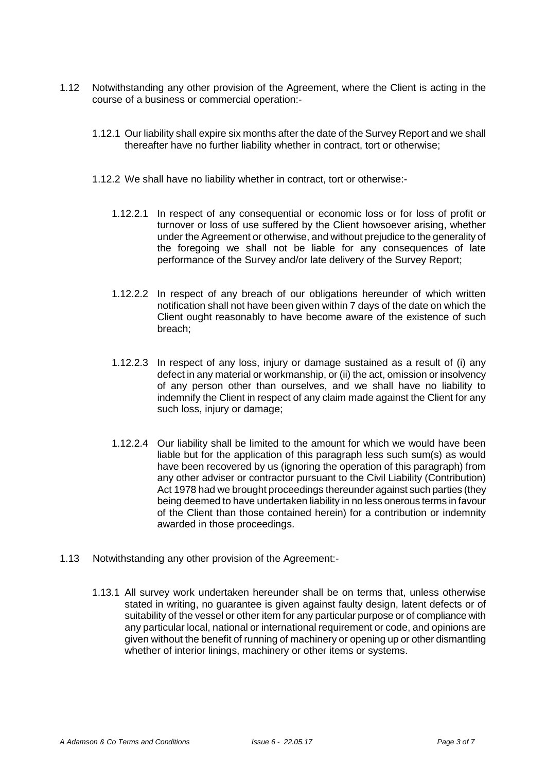- 1.12 Notwithstanding any other provision of the Agreement, where the Client is acting in the course of a business or commercial operation:-
	- 1.12.1 Our liability shall expire six months after the date of the Survey Report and we shall thereafter have no further liability whether in contract, tort or otherwise;
	- 1.12.2 We shall have no liability whether in contract, tort or otherwise:-
		- 1.12.2.1 In respect of any consequential or economic loss or for loss of profit or turnover or loss of use suffered by the Client howsoever arising, whether under the Agreement or otherwise, and without prejudice to the generality of the foregoing we shall not be liable for any consequences of late performance of the Survey and/or late delivery of the Survey Report;
		- 1.12.2.2 In respect of any breach of our obligations hereunder of which written notification shall not have been given within 7 days of the date on which the Client ought reasonably to have become aware of the existence of such breach;
		- 1.12.2.3 In respect of any loss, injury or damage sustained as a result of (i) any defect in any material or workmanship, or (ii) the act, omission or insolvency of any person other than ourselves, and we shall have no liability to indemnify the Client in respect of any claim made against the Client for any such loss, injury or damage;
		- 1.12.2.4 Our liability shall be limited to the amount for which we would have been liable but for the application of this paragraph less such sum(s) as would have been recovered by us (ignoring the operation of this paragraph) from any other adviser or contractor pursuant to the Civil Liability (Contribution) Act 1978 had we brought proceedings thereunder against such parties (they being deemed to have undertaken liability in no less onerous terms in favour of the Client than those contained herein) for a contribution or indemnity awarded in those proceedings.
- 1.13 Notwithstanding any other provision of the Agreement:-
	- 1.13.1 All survey work undertaken hereunder shall be on terms that, unless otherwise stated in writing, no guarantee is given against faulty design, latent defects or of suitability of the vessel or other item for any particular purpose or of compliance with any particular local, national or international requirement or code, and opinions are given without the benefit of running of machinery or opening up or other dismantling whether of interior linings, machinery or other items or systems.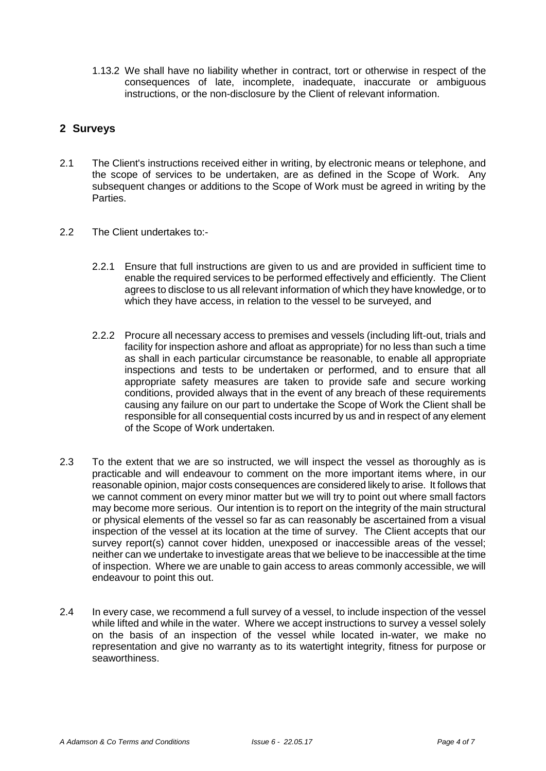1.13.2 We shall have no liability whether in contract, tort or otherwise in respect of the consequences of late, incomplete, inadequate, inaccurate or ambiguous instructions, or the non-disclosure by the Client of relevant information.

## **2 Surveys**

- 2.1 The Client's instructions received either in writing, by electronic means or telephone, and the scope of services to be undertaken, are as defined in the Scope of Work. Any subsequent changes or additions to the Scope of Work must be agreed in writing by the Parties.
- 2.2 The Client undertakes to :-
	- 2.2.1 Ensure that full instructions are given to us and are provided in sufficient time to enable the required services to be performed effectively and efficiently. The Client agrees to disclose to us all relevant information of which they have knowledge, or to which they have access, in relation to the vessel to be surveyed, and
	- 2.2.2 Procure all necessary access to premises and vessels (including lift-out, trials and facility for inspection ashore and afloat as appropriate) for no less than such a time as shall in each particular circumstance be reasonable, to enable all appropriate inspections and tests to be undertaken or performed, and to ensure that all appropriate safety measures are taken to provide safe and secure working conditions, provided always that in the event of any breach of these requirements causing any failure on our part to undertake the Scope of Work the Client shall be responsible for all consequential costs incurred by us and in respect of any element of the Scope of Work undertaken.
- 2.3 To the extent that we are so instructed, we will inspect the vessel as thoroughly as is practicable and will endeavour to comment on the more important items where, in our reasonable opinion, major costs consequences are considered likely to arise. It follows that we cannot comment on every minor matter but we will try to point out where small factors may become more serious. Our intention is to report on the integrity of the main structural or physical elements of the vessel so far as can reasonably be ascertained from a visual inspection of the vessel at its location at the time of survey. The Client accepts that our survey report(s) cannot cover hidden, unexposed or inaccessible areas of the vessel; neither can we undertake to investigate areas that we believe to be inaccessible at the time of inspection. Where we are unable to gain access to areas commonly accessible, we will endeavour to point this out.
- 2.4 In every case, we recommend a full survey of a vessel, to include inspection of the vessel while lifted and while in the water. Where we accept instructions to survey a vessel solely on the basis of an inspection of the vessel while located in-water, we make no representation and give no warranty as to its watertight integrity, fitness for purpose or seaworthiness.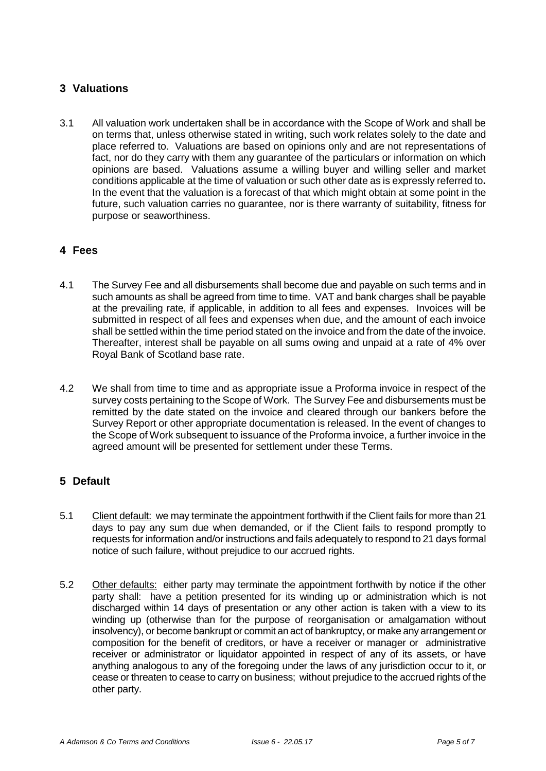## **3 Valuations**

3.1 All valuation work undertaken shall be in accordance with the Scope of Work and shall be on terms that, unless otherwise stated in writing, such work relates solely to the date and place referred to. Valuations are based on opinions only and are not representations of fact, nor do they carry with them any guarantee of the particulars or information on which opinions are based. Valuations assume a willing buyer and willing seller and market conditions applicable at the time of valuation or such other date as is expressly referred to**.**  In the event that the valuation is a forecast of that which might obtain at some point in the future, such valuation carries no guarantee, nor is there warranty of suitability, fitness for purpose or seaworthiness.

## **4 Fees**

- 4.1 The Survey Fee and all disbursements shall become due and payable on such terms and in such amounts as shall be agreed from time to time. VAT and bank charges shall be payable at the prevailing rate, if applicable, in addition to all fees and expenses. Invoices will be submitted in respect of all fees and expenses when due, and the amount of each invoice shall be settled within the time period stated on the invoice and from the date of the invoice. Thereafter, interest shall be payable on all sums owing and unpaid at a rate of 4% over Royal Bank of Scotland base rate.
- 4.2 We shall from time to time and as appropriate issue a Proforma invoice in respect of the survey costs pertaining to the Scope of Work. The Survey Fee and disbursements must be remitted by the date stated on the invoice and cleared through our bankers before the Survey Report or other appropriate documentation is released. In the event of changes to the Scope of Work subsequent to issuance of the Proforma invoice, a further invoice in the agreed amount will be presented for settlement under these Terms.

## **5 Default**

- 5.1 Client default: we may terminate the appointment forthwith if the Client fails for more than 21 days to pay any sum due when demanded, or if the Client fails to respond promptly to requests for information and/or instructions and fails adequately to respond to 21 days formal notice of such failure, without prejudice to our accrued rights.
- 5.2 Other defaults: either party may terminate the appointment forthwith by notice if the other party shall: have a petition presented for its winding up or administration which is not discharged within 14 days of presentation or any other action is taken with a view to its winding up (otherwise than for the purpose of reorganisation or amalgamation without insolvency), or become bankrupt or commit an act of bankruptcy, or make any arrangement or composition for the benefit of creditors, or have a receiver or manager or administrative receiver or administrator or liquidator appointed in respect of any of its assets, or have anything analogous to any of the foregoing under the laws of any jurisdiction occur to it, or cease or threaten to cease to carry on business; without prejudice to the accrued rights of the other party.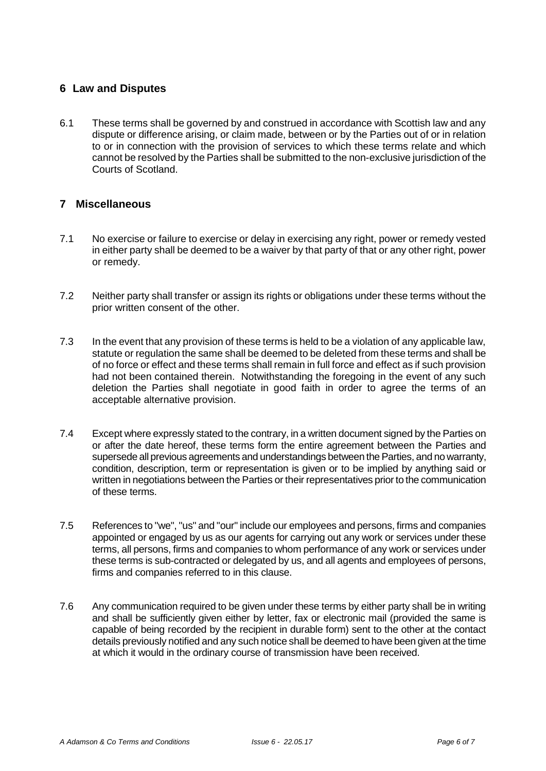## **6 Law and Disputes**

6.1 These terms shall be governed by and construed in accordance with Scottish law and any dispute or difference arising, or claim made, between or by the Parties out of or in relation to or in connection with the provision of services to which these terms relate and which cannot be resolved by the Parties shall be submitted to the non-exclusive jurisdiction of the Courts of Scotland.

## **7 Miscellaneous**

- 7.1 No exercise or failure to exercise or delay in exercising any right, power or remedy vested in either party shall be deemed to be a waiver by that party of that or any other right, power or remedy.
- 7.2 Neither party shall transfer or assign its rights or obligations under these terms without the prior written consent of the other.
- 7.3 In the event that any provision of these terms is held to be a violation of any applicable law, statute or regulation the same shall be deemed to be deleted from these terms and shall be of no force or effect and these terms shall remain in full force and effect as if such provision had not been contained therein. Notwithstanding the foregoing in the event of any such deletion the Parties shall negotiate in good faith in order to agree the terms of an acceptable alternative provision.
- 7.4 Except where expressly stated to the contrary, in a written document signed by the Parties on or after the date hereof, these terms form the entire agreement between the Parties and supersede all previous agreements and understandings between the Parties, and no warranty, condition, description, term or representation is given or to be implied by anything said or written in negotiations between the Parties or their representatives prior to the communication of these terms.
- 7.5 References to "we", "us" and "our" include our employees and persons, firms and companies appointed or engaged by us as our agents for carrying out any work or services under these terms, all persons, firms and companies to whom performance of any work or services under these terms is sub-contracted or delegated by us, and all agents and employees of persons, firms and companies referred to in this clause.
- 7.6 Any communication required to be given under these terms by either party shall be in writing and shall be sufficiently given either by letter, fax or electronic mail (provided the same is capable of being recorded by the recipient in durable form) sent to the other at the contact details previously notified and any such notice shall be deemed to have been given at the time at which it would in the ordinary course of transmission have been received.